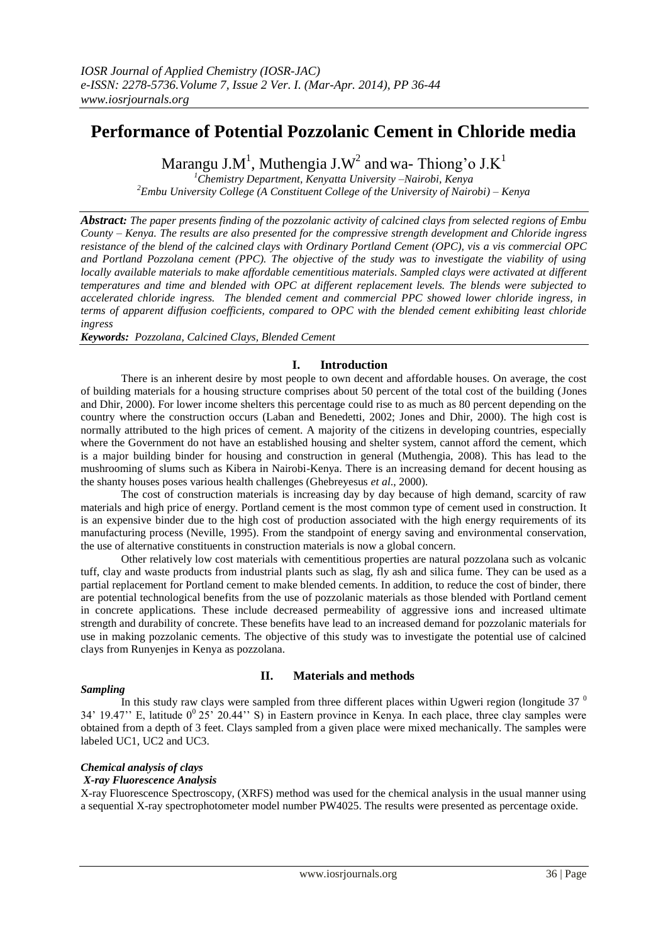# **Performance of Potential Pozzolanic Cement in Chloride media**

Marangu J.M<sup>1</sup>, Muthengia J.W<sup>2</sup> and wa-Thiong'o J.K<sup>1</sup>

*<sup>1</sup>Chemistry Department, Kenyatta University –Nairobi, Kenya <sup>2</sup>Embu University College (A Constituent College of the University of Nairobi) – Kenya*

*Abstract: The paper presents finding of the pozzolanic activity of calcined clays from selected regions of Embu County – Kenya. The results are also presented for the compressive strength development and Chloride ingress resistance of the blend of the calcined clays with Ordinary Portland Cement (OPC), vis a vis commercial OPC and Portland Pozzolana cement (PPC). The objective of the study was to investigate the viability of using locally available materials to make affordable cementitious materials. Sampled clays were activated at different temperatures and time and blended with OPC at different replacement levels. The blends were subjected to accelerated chloride ingress. The blended cement and commercial PPC showed lower chloride ingress, in terms of apparent diffusion coefficients, compared to OPC with the blended cement exhibiting least chloride ingress*

*Keywords: Pozzolana, Calcined Clays, Blended Cement*

# **I. Introduction**

There is an inherent desire by most people to own decent and affordable houses. On average, the cost of building materials for a housing structure comprises about 50 percent of the total cost of the building (Jones and Dhir, 2000). For lower income shelters this percentage could rise to as much as 80 percent depending on the country where the construction occurs (Laban and Benedetti, 2002; Jones and Dhir, 2000). The high cost is normally attributed to the high prices of cement. A majority of the citizens in developing countries, especially where the Government do not have an established housing and shelter system, cannot afford the cement, which is a major building binder for housing and construction in general (Muthengia, 2008). This has lead to the mushrooming of slums such as Kibera in Nairobi-Kenya. There is an increasing demand for decent housing as the shanty houses poses various health challenges (Ghebreyesus *et al*., 2000).

The cost of construction materials is increasing day by day because of high demand, scarcity of raw materials and high price of energy. Portland cement is the most common type of cement used in construction. It is an expensive binder due to the high cost of production associated with the high energy requirements of its manufacturing process (Neville, 1995). From the standpoint of energy saving and environmental conservation, the use of alternative constituents in construction materials is now a global concern.

Other relatively low cost materials with cementitious properties are natural pozzolana such as volcanic tuff, clay and waste products from industrial plants such as slag, fly ash and silica fume. They can be used as a partial replacement for Portland cement to make blended cements. In addition, to reduce the cost of binder, there are potential technological benefits from the use of pozzolanic materials as those blended with Portland cement in concrete applications. These include decreased permeability of aggressive ions and increased ultimate strength and durability of concrete. These benefits have lead to an increased demand for pozzolanic materials for use in making pozzolanic cements. The objective of this study was to investigate the potential use of calcined clays from Runyenjes in Kenya as pozzolana.

# *Sampling*

# **II. Materials and methods**

In this study raw clays were sampled from three different places within Ugweri region (longitude  $37<sup>0</sup>$ 34' 19.47" E, latitude  $0^0$  25' 20.44" S) in Eastern province in Kenya. In each place, three clay samples were obtained from a depth of 3 feet. Clays sampled from a given place were mixed mechanically. The samples were labeled UC1, UC2 and UC3.

# *Chemical analysis of clays*

# *X-ray Fluorescence Analysis*

X-ray Fluorescence Spectroscopy, (XRFS) method was used for the chemical analysis in the usual manner using a sequential X-ray spectrophotometer model number PW4025. The results were presented as percentage oxide.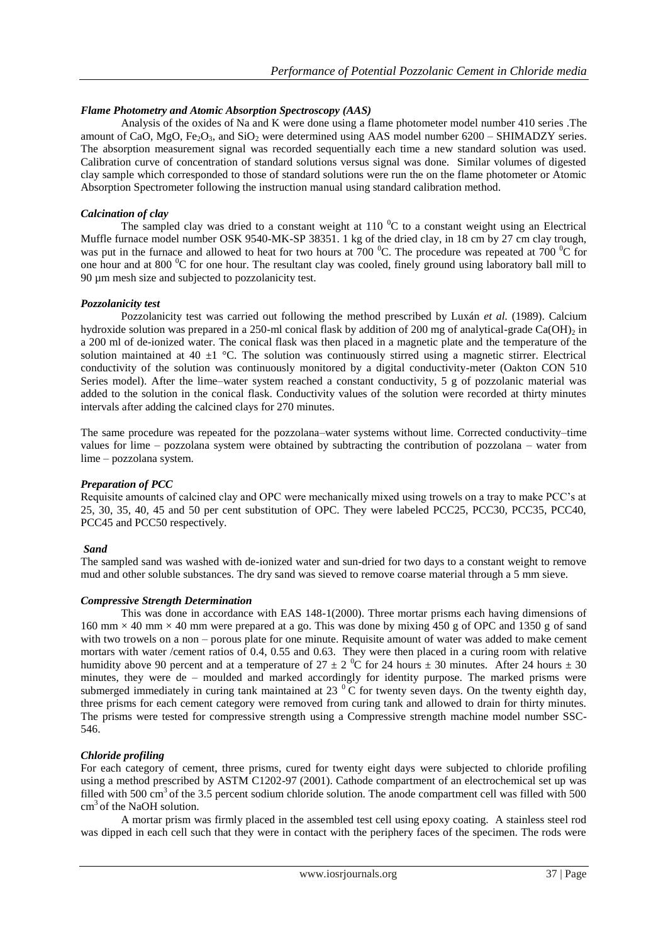# *Flame Photometry and Atomic Absorption Spectroscopy (AAS)*

Analysis of the oxides of Na and K were done using a flame photometer model number 410 series .The amount of CaO, MgO, Fe<sub>2</sub>O<sub>3</sub>, and SiO<sub>2</sub> were determined using AAS model number  $6200 - SHIMADZY$  series. The absorption measurement signal was recorded sequentially each time a new standard solution was used. Calibration curve of concentration of standard solutions versus signal was done. Similar volumes of digested clay sample which corresponded to those of standard solutions were run the on the flame photometer or Atomic Absorption Spectrometer following the instruction manual using standard calibration method.

#### *Calcination of clay*

The sampled clay was dried to a constant weight at 110 $\rm{^0C}$  to a constant weight using an Electrical Muffle furnace model number OSK 9540-MK-SP 38351. 1 kg of the dried clay, in 18 cm by 27 cm clay trough, was put in the furnace and allowed to heat for two hours at  $700\degree$ C. The procedure was repeated at  $700\degree$ C for one hour and at 800 <sup>o</sup>C for one hour. The resultant clay was cooled, finely ground using laboratory ball mill to 90 µm mesh size and subjected to pozzolanicity test.

# *Pozzolanicity test*

Pozzolanicity test was carried out following the method prescribed by Luxán *et al.* (1989). Calcium hydroxide solution was prepared in a 250-ml conical flask by addition of 200 mg of analytical-grade Ca(OH)<sub>2</sub> in a 200 ml of de-ionized water. The conical flask was then placed in a magnetic plate and the temperature of the solution maintained at 40  $\pm$ 1 °C. The solution was continuously stirred using a magnetic stirrer. Electrical conductivity of the solution was continuously monitored by a digital conductivity-meter (Oakton CON 510 Series model). After the lime–water system reached a constant conductivity, 5 g of pozzolanic material was added to the solution in the conical flask. Conductivity values of the solution were recorded at thirty minutes intervals after adding the calcined clays for 270 minutes.

The same procedure was repeated for the pozzolana–water systems without lime. Corrected conductivity–time values for lime – pozzolana system were obtained by subtracting the contribution of pozzolana – water from lime – pozzolana system.

#### *Preparation of PCC*

Requisite amounts of calcined clay and OPC were mechanically mixed using trowels on a tray to make PCC"s at 25, 30, 35, 40, 45 and 50 per cent substitution of OPC. They were labeled PCC25, PCC30, PCC35, PCC40, PCC45 and PCC50 respectively.

#### *Sand*

The sampled sand was washed with de-ionized water and sun-dried for two days to a constant weight to remove mud and other soluble substances. The dry sand was sieved to remove coarse material through a 5 mm sieve.

#### *Compressive Strength Determination*

This was done in accordance with EAS 148-1(2000). Three mortar prisms each having dimensions of  $160 \text{ mm} \times 40 \text{ mm} \times 40 \text{ mm}$  were prepared at a go. This was done by mixing 450 g of OPC and 1350 g of sand with two trowels on a non – porous plate for one minute. Requisite amount of water was added to make cement mortars with water /cement ratios of 0.4, 0.55 and 0.63. They were then placed in a curing room with relative humidity above 90 percent and at a temperature of  $27 \pm 2$  °C for 24 hours  $\pm$  30 minutes. After 24 hours  $\pm$  30 minutes, they were de – moulded and marked accordingly for identity purpose. The marked prisms were submerged immediately in curing tank maintained at 23 $\degree$ C for twenty seven days. On the twenty eighth day, three prisms for each cement category were removed from curing tank and allowed to drain for thirty minutes. The prisms were tested for compressive strength using a Compressive strength machine model number SSC-546.

#### *Chloride profiling*

For each category of cement, three prisms, cured for twenty eight days were subjected to chloride profiling using a method prescribed by ASTM C1202-97 (2001). Cathode compartment of an electrochemical set up was filled with 500  $\text{cm}^3$  of the 3.5 percent sodium chloride solution. The anode compartment cell was filled with 500  $cm<sup>3</sup>$  of the NaOH solution.

A mortar prism was firmly placed in the assembled test cell using epoxy coating. A stainless steel rod was dipped in each cell such that they were in contact with the periphery faces of the specimen. The rods were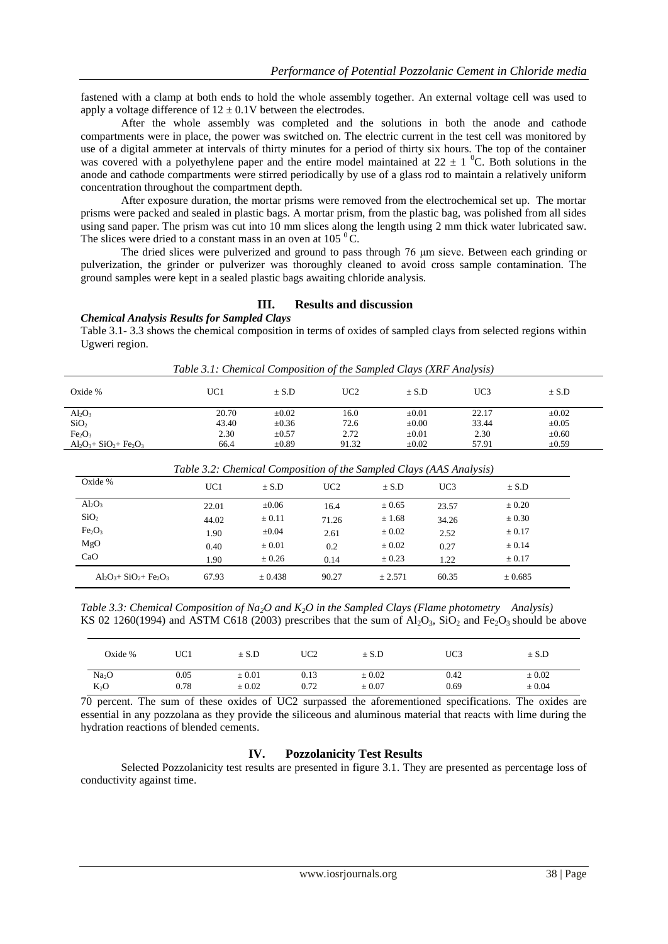fastened with a clamp at both ends to hold the whole assembly together. An external voltage cell was used to apply a voltage difference of  $12 \pm 0.1$ V between the electrodes.

After the whole assembly was completed and the solutions in both the anode and cathode compartments were in place, the power was switched on. The electric current in the test cell was monitored by use of a digital ammeter at intervals of thirty minutes for a period of thirty six hours. The top of the container was covered with a polyethylene paper and the entire model maintained at  $22 \pm 1$  °C. Both solutions in the anode and cathode compartments were stirred periodically by use of a glass rod to maintain a relatively uniform concentration throughout the compartment depth.

After exposure duration, the mortar prisms were removed from the electrochemical set up. The mortar prisms were packed and sealed in plastic bags. A mortar prism, from the plastic bag, was polished from all sides using sand paper. The prism was cut into 10 mm slices along the length using 2 mm thick water lubricated saw. The slices were dried to a constant mass in an oven at  $105<sup>0</sup>C$ .

The dried slices were pulverized and ground to pass through 76 μm sieve. Between each grinding or pulverization, the grinder or pulverizer was thoroughly cleaned to avoid cross sample contamination. The ground samples were kept in a sealed plastic bags awaiting chloride analysis.

# **III. Results and discussion**

*Chemical Analysis Results for Sampled Clays*

Table 3.1- 3.3 shows the chemical composition in terms of oxides of sampled clays from selected regions within Ugweri region.

| Oxide %                        | UC1   | $\pm$ S.D  | UC2   | $\pm$ S.D  | UC3   | $\pm$ S.D  |
|--------------------------------|-------|------------|-------|------------|-------|------------|
| $Al_2O_3$                      | 20.70 | $\pm 0.02$ | 16.0  | $\pm 0.01$ | 22.17 | $\pm 0.02$ |
| SiO <sub>2</sub>               | 43.40 | $\pm 0.36$ | 72.6  | $\pm 0.00$ | 33.44 | $\pm 0.05$ |
| Fe <sub>2</sub> O <sub>3</sub> | 2.30  | $\pm 0.57$ | 2.72  | $\pm 0.01$ | 2.30  | $\pm 0.60$ |
| $Al_2O_3 + SiO_2 + Fe_2O_3$    | 66.4  | $\pm 0.89$ | 91.32 | $\pm 0.02$ | 57.91 | $\pm 0.59$ |

*Table 3.1: Chemical Composition of the Sampled Clays (XRF Analysis)*

| Table 3.2: Chemical Composition of the Sampled Clays (AAS Analysis) |                 |            |       |            |                 |            |
|---------------------------------------------------------------------|-----------------|------------|-------|------------|-----------------|------------|
| Oxide %                                                             | UC <sub>1</sub> | $\pm$ S.D  | UC2   | $\pm$ S.D  | UC <sub>3</sub> | $\pm$ S.D  |
| $Al_2O_3$                                                           | 22.01           | $\pm 0.06$ | 16.4  | $\pm 0.65$ | 23.57           | $\pm 0.20$ |
| SiO <sub>2</sub>                                                    | 44.02           | $\pm$ 0.11 | 71.26 | ± 1.68     | 34.26           | $\pm 0.30$ |
| Fe <sub>2</sub> O <sub>3</sub>                                      | 1.90            | $\pm 0.04$ | 2.61  | $\pm 0.02$ | 2.52            | $\pm 0.17$ |
| MgO                                                                 | 0.40            | $\pm 0.01$ | 0.2   | $\pm 0.02$ | 0.27            | $\pm 0.14$ |
| CaO                                                                 | 1.90            | ± 0.26     | 0.14  | $\pm 0.23$ | 1.22            | $\pm 0.17$ |
| $Al_2O_3 + SiO_2 + Fe_2O_3$                                         | 67.93           | ± 0.438    | 90.27 | $+2.571$   | 60.35           | ± 0.685    |

*Table 3.2: Chemical Composition of the Sampled Clays (AAS Analysis)*

*Table 3.3: Chemical Composition of Na2O and K2O in the Sampled Clays (Flame photometry Analysis)* KS 02 1260(1994) and ASTM C618 (2003) prescribes that the sum of  $Al_2O_3$ ,  $SiO_2$  and  $Fe_2O_3$  should be above

| Oxide $%$         | UC1  | $\pm$ S.D  | UC2  | $\pm$ S.D  | UC3  | $\pm$ S.D  |
|-------------------|------|------------|------|------------|------|------------|
| Na <sub>2</sub> O | 0.05 | $\pm 0.01$ | 0.13 | $\pm 0.02$ | 0.42 | $\pm 0.02$ |
| $K_2O$            | 0.78 | $\pm 0.02$ | 0.72 | $\pm 0.07$ | 0.69 | $\pm 0.04$ |

70 percent. The sum of these oxides of UC2 surpassed the aforementioned specifications. The oxides are essential in any pozzolana as they provide the siliceous and aluminous material that reacts with lime during the hydration reactions of blended cements.

# **IV. Pozzolanicity Test Results**

Selected Pozzolanicity test results are presented in figure 3.1. They are presented as percentage loss of conductivity against time.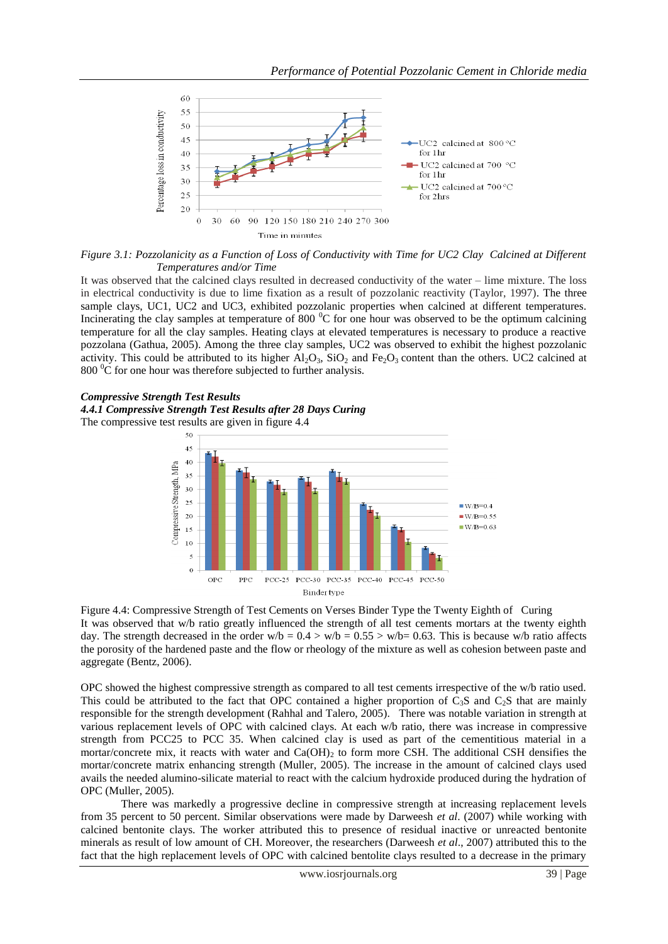

*Figure 3.1: Pozzolanicity as a Function of Loss of Conductivity with Time for UC2 Clay Calcined at Different Temperatures and/or Time*

It was observed that the calcined clays resulted in decreased conductivity of the water – lime mixture. The loss in electrical conductivity is due to lime fixation as a result of pozzolanic reactivity (Taylor, 1997). The three sample clays, UC1, UC2 and UC3, exhibited pozzolanic properties when calcined at different temperatures. Incinerating the clay samples at temperature of 800 $\degree$ C for one hour was observed to be the optimum calcining temperature for all the clay samples. Heating clays at elevated temperatures is necessary to produce a reactive pozzolana (Gathua, 2005). Among the three clay samples, UC2 was observed to exhibit the highest pozzolanic activity. This could be attributed to its higher  $Al_2O_3$ ,  $SiO_2$  and  $Fe_2O_3$  content than the others. UC2 calcined at  $800<sup>0</sup>C$  for one hour was therefore subjected to further analysis.

#### *Compressive Strength Test Results*





Figure 4.4: Compressive Strength of Test Cements on Verses Binder Type the Twenty Eighth of Curing It was observed that w/b ratio greatly influenced the strength of all test cements mortars at the twenty eighth day. The strength decreased in the order w/b =  $0.4 > w/b = 0.55 > w/b = 0.63$ . This is because w/b ratio affects the porosity of the hardened paste and the flow or rheology of the mixture as well as cohesion between paste and aggregate (Bentz, 2006).

OPC showed the highest compressive strength as compared to all test cements irrespective of the w/b ratio used. This could be attributed to the fact that OPC contained a higher proportion of  $C_3S$  and  $C_2S$  that are mainly responsible for the strength development (Rahhal and Talero, 2005). There was notable variation in strength at various replacement levels of OPC with calcined clays. At each w/b ratio, there was increase in compressive strength from PCC25 to PCC 35. When calcined clay is used as part of the cementitious material in a mortar/concrete mix, it reacts with water and  $Ca(OH)_2$  to form more CSH. The additional CSH densifies the mortar/concrete matrix enhancing strength (Muller, 2005). The increase in the amount of calcined clays used avails the needed alumino-silicate material to react with the calcium hydroxide produced during the hydration of OPC (Muller, 2005).

There was markedly a progressive decline in compressive strength at increasing replacement levels from 35 percent to 50 percent. Similar observations were made by Darweesh *et al*. (2007) while working with calcined bentonite clays. The worker attributed this to presence of residual inactive or unreacted bentonite minerals as result of low amount of CH. Moreover, the researchers (Darweesh *et al*., 2007) attributed this to the fact that the high replacement levels of OPC with calcined bentolite clays resulted to a decrease in the primary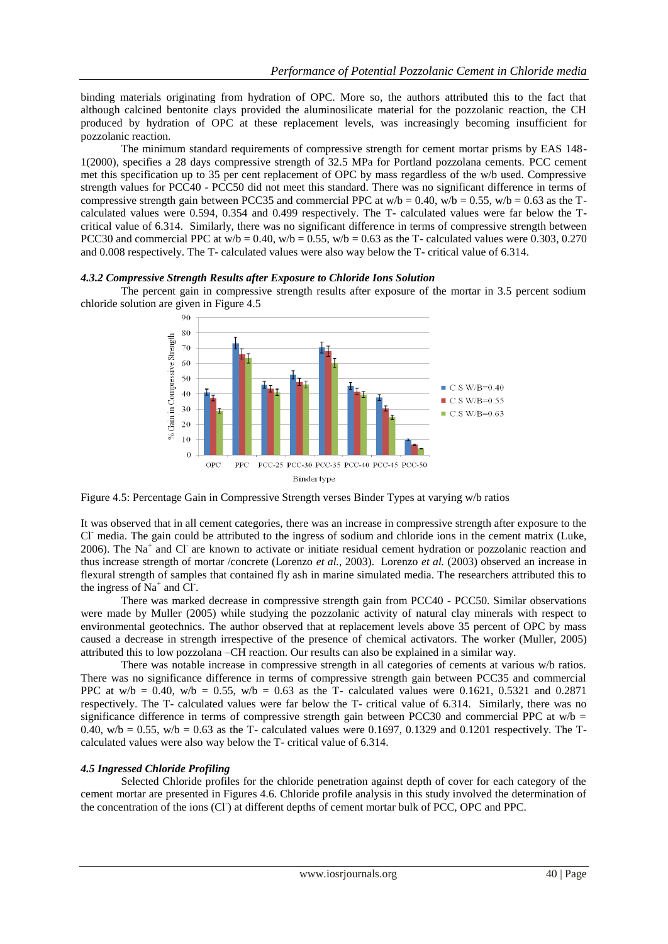binding materials originating from hydration of OPC. More so, the authors attributed this to the fact that although calcined bentonite clays provided the aluminosilicate material for the pozzolanic reaction, the CH produced by hydration of OPC at these replacement levels, was increasingly becoming insufficient for pozzolanic reaction.

The minimum standard requirements of compressive strength for cement mortar prisms by EAS 148- 1(2000), specifies a 28 days compressive strength of 32.5 MPa for Portland pozzolana cements. PCC cement met this specification up to 35 per cent replacement of OPC by mass regardless of the w/b used. Compressive strength values for PCC40 - PCC50 did not meet this standard. There was no significant difference in terms of compressive strength gain between PCC35 and commercial PPC at  $w/b = 0.40$ ,  $w/b = 0.55$ ,  $w/b = 0.63$  as the Tcalculated values were 0.594, 0.354 and 0.499 respectively. The T- calculated values were far below the Tcritical value of 6.314. Similarly, there was no significant difference in terms of compressive strength between PCC30 and commercial PPC at  $w/b = 0.40$ ,  $w/b = 0.55$ ,  $w/b = 0.63$  as the T- calculated values were 0.303, 0.270 and 0.008 respectively. The T- calculated values were also way below the T- critical value of 6.314.

#### *4.3.2 Compressive Strength Results after Exposure to Chloride Ions Solution*

The percent gain in compressive strength results after exposure of the mortar in 3.5 percent sodium chloride solution are given in Figure 4.5



Figure 4.5: Percentage Gain in Compressive Strength verses Binder Types at varying w/b ratios

It was observed that in all cement categories, there was an increase in compressive strength after exposure to the Cl- media. The gain could be attributed to the ingress of sodium and chloride ions in the cement matrix (Luke, 2006). The Na<sup>+</sup> and Cl<sup>-</sup> are known to activate or initiate residual cement hydration or pozzolanic reaction and thus increase strength of mortar /concrete (Lorenzo *et al.*, 2003). Lorenzo *et al.* (2003) observed an increase in flexural strength of samples that contained fly ash in marine simulated media. The researchers attributed this to the ingress of  $Na^+$  and Cl.

There was marked decrease in compressive strength gain from PCC40 - PCC50. Similar observations were made by Muller (2005) while studying the pozzolanic activity of natural clay minerals with respect to environmental geotechnics. The author observed that at replacement levels above 35 percent of OPC by mass caused a decrease in strength irrespective of the presence of chemical activators. The worker (Muller, 2005) attributed this to low pozzolana –CH reaction. Our results can also be explained in a similar way.

There was notable increase in compressive strength in all categories of cements at various w/b ratios. There was no significance difference in terms of compressive strength gain between PCC35 and commercial PPC at  $w/b = 0.40$ ,  $w/b = 0.55$ ,  $w/b = 0.63$  as the T- calculated values were 0.1621, 0.5321 and 0.2871 respectively. The T- calculated values were far below the T- critical value of 6.314. Similarly, there was no significance difference in terms of compressive strength gain between PCC30 and commercial PPC at  $w/b =$ 0.40, w/b = 0.55, w/b = 0.63 as the T- calculated values were 0.1697, 0.1329 and 0.1201 respectively. The Tcalculated values were also way below the T- critical value of 6.314.

# *4.5 Ingressed Chloride Profiling*

Selected Chloride profiles for the chloride penetration against depth of cover for each category of the cement mortar are presented in Figures 4.6. Chloride profile analysis in this study involved the determination of the concentration of the ions (Cl) at different depths of cement mortar bulk of PCC, OPC and PPC.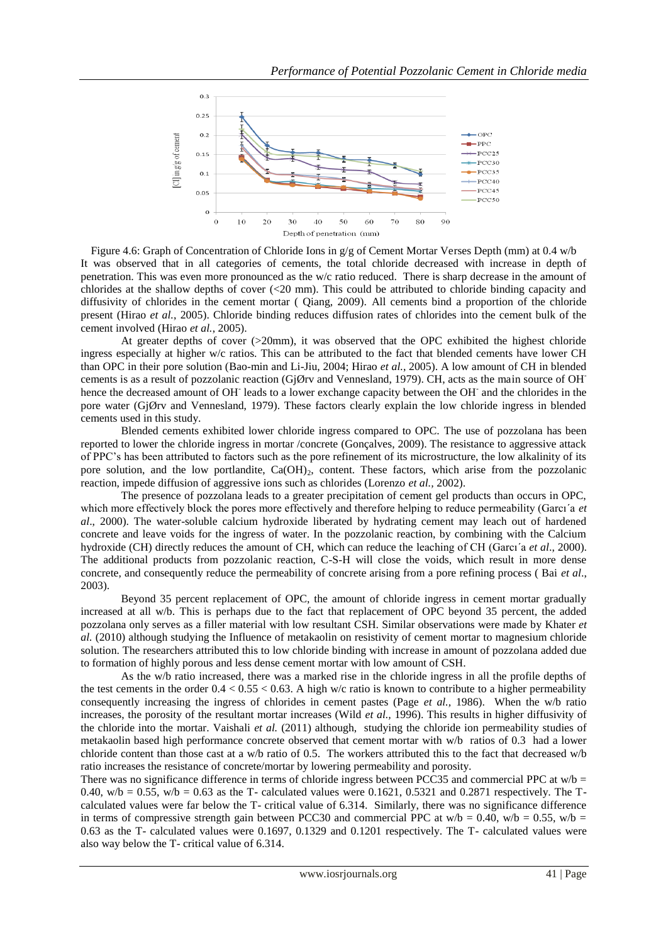

Figure 4.6: Graph of Concentration of Chloride Ions in g/g of Cement Mortar Verses Depth (mm) at 0.4 w/b It was observed that in all categories of cements, the total chloride decreased with increase in depth of penetration. This was even more pronounced as the w/c ratio reduced. There is sharp decrease in the amount of chlorides at the shallow depths of cover  $\ll$  20 mm). This could be attributed to chloride binding capacity and diffusivity of chlorides in the cement mortar ( Qiang, 2009). All cements bind a proportion of the chloride present (Hirao *et al.*, 2005). Chloride binding reduces diffusion rates of chlorides into the cement bulk of the cement involved (Hirao *et al.*, 2005).

At greater depths of cover (>20mm), it was observed that the OPC exhibited the highest chloride ingress especially at higher w/c ratios. This can be attributed to the fact that blended cements have lower CH than OPC in their pore solution (Bao-min and Li-Jiu, 2004; Hirao *et al.*, 2005). A low amount of CH in blended cements is as a result of pozzolanic reaction (GjØrv and Vennesland, 1979). CH, acts as the main source of OHhence the decreased amount of OH<sup>-</sup> leads to a lower exchange capacity between the OH<sup>-</sup> and the chlorides in the pore water (GjØrv and Vennesland, 1979). These factors clearly explain the low chloride ingress in blended cements used in this study.

Blended cements exhibited lower chloride ingress compared to OPC. The use of pozzolana has been reported to lower the chloride ingress in mortar /concrete (Gonçalves, 2009). The resistance to aggressive attack of PPC"s has been attributed to factors such as the pore refinement of its microstructure, the low alkalinity of its pore solution, and the low portlandite,  $Ca(OH)_2$ , content. These factors, which arise from the pozzolanic reaction, impede diffusion of aggressive ions such as chlorides (Lorenzo *et al.,* 2002).

The presence of pozzolana leads to a greater precipitation of cement gel products than occurs in OPC, which more effectively block the pores more effectively and therefore helping to reduce permeability (Garcı'a *et al*., 2000). The water-soluble calcium hydroxide liberated by hydrating cement may leach out of hardened concrete and leave voids for the ingress of water. In the pozzolanic reaction, by combining with the Calcium hydroxide (CH) directly reduces the amount of CH, which can reduce the leaching of CH (Garcı´a *et al*., 2000). The additional products from pozzolanic reaction, C-S-H will close the voids, which result in more dense concrete, and consequently reduce the permeability of concrete arising from a pore refining process ( Bai *et al*., 2003).

Beyond 35 percent replacement of OPC, the amount of chloride ingress in cement mortar gradually increased at all w/b. This is perhaps due to the fact that replacement of OPC beyond 35 percent, the added pozzolana only serves as a filler material with low resultant CSH. Similar observations were made by Khater *et al.* (2010) although studying the Influence of metakaolin on resistivity of cement mortar to magnesium chloride solution. The researchers attributed this to low chloride binding with increase in amount of pozzolana added due to formation of highly porous and less dense cement mortar with low amount of CSH.

As the w/b ratio increased, there was a marked rise in the chloride ingress in all the profile depths of the test cements in the order  $0.4 < 0.55 < 0.63$ . A high w/c ratio is known to contribute to a higher permeability consequently increasing the ingress of chlorides in cement pastes (Page *et al.,* 1986). When the w/b ratio increases, the porosity of the resultant mortar increases (Wild *et al.,* 1996). This results in higher diffusivity of the chloride into the mortar. Vaishali *et al.* (2011) although, studying the chloride ion permeability studies of metakaolin based high performance concrete observed that cement mortar with w/b ratios of 0.3 had a lower chloride content than those cast at a w/b ratio of 0.5. The workers attributed this to the fact that decreased w/b ratio increases the resistance of concrete/mortar by lowering permeability and porosity.

There was no significance difference in terms of chloride ingress between PCC35 and commercial PPC at  $w/b =$ 0.40, w/b = 0.55, w/b = 0.63 as the T- calculated values were 0.1621, 0.5321 and 0.2871 respectively. The Tcalculated values were far below the T- critical value of 6.314. Similarly, there was no significance difference in terms of compressive strength gain between PCC30 and commercial PPC at  $w/b = 0.40$ ,  $w/b = 0.55$ ,  $w/b = 0.55$ 0.63 as the T- calculated values were 0.1697, 0.1329 and 0.1201 respectively. The T- calculated values were also way below the T- critical value of 6.314.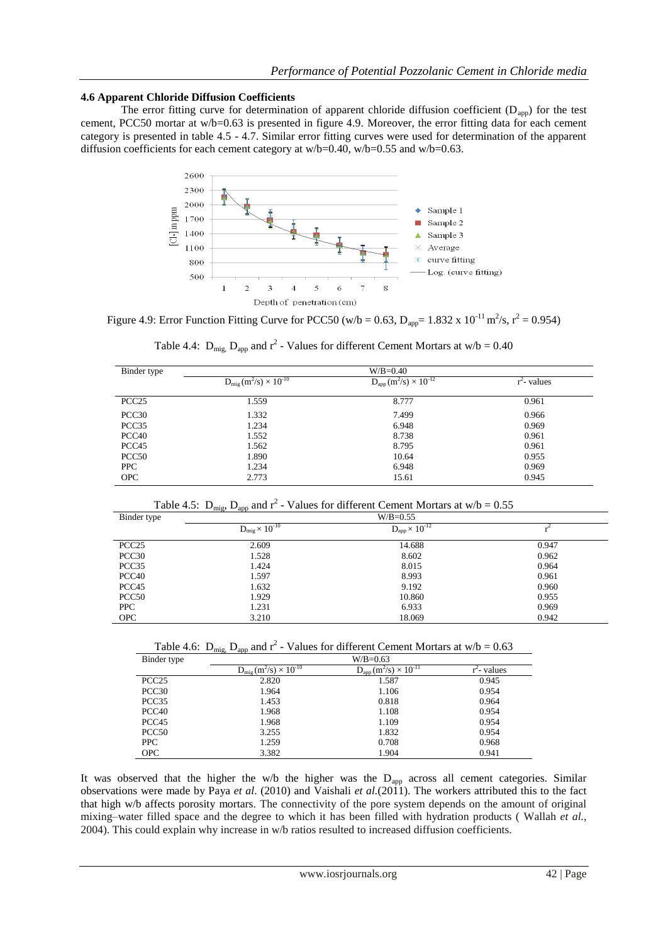# **4.6 Apparent Chloride Diffusion Coefficients**

The error fitting curve for determination of apparent chloride diffusion coefficient  $(D_{app})$  for the test cement, PCC50 mortar at w/b=0.63 is presented in figure 4.9. Moreover, the error fitting data for each cement category is presented in table 4.5 - 4.7. Similar error fitting curves were used for determination of the apparent diffusion coefficients for each cement category at w/b=0.40, w/b=0.55 and w/b=0.63.



Figure 4.9: Error Function Fitting Curve for PCC50 (w/b = 0.63,  $D_{app}$  = 1.832 x 10<sup>-11</sup> m<sup>2</sup>/s, r<sup>2</sup> = 0.954)

|                   | $\mathcal{L}$<br>- 11                   |                                     |                |
|-------------------|-----------------------------------------|-------------------------------------|----------------|
| Binder type       |                                         | $W/B = 0.40$                        |                |
|                   | $D_{\rm mig}$ $(m^2/s) \times 10^{-10}$ | $D_{app}$ $(m^2/s) \times 10^{-12}$ | $r^2$ - values |
| PCC <sub>25</sub> | 1.559                                   | 8.777                               | 0.961          |
| PCC <sub>30</sub> | 1.332                                   | 7.499                               | 0.966          |
| PCC <sub>35</sub> | 1.234                                   | 6.948                               | 0.969          |
| PCC <sub>40</sub> | 1.552                                   | 8.738                               | 0.961          |
| PCC <sub>45</sub> | 1.562                                   | 8.795                               | 0.961          |
| PCC <sub>50</sub> | 1.890                                   | 10.64                               | 0.955          |
| <b>PPC</b>        | 1.234                                   | 6.948                               | 0.969          |

Table 4.4:  $D_{\text{mig}}$ ,  $D_{\text{app}}$  and  $r^2$  - Values for different Cement Mortars at w/b = 0.40

Table 4.5:  $D_{\text{mig}}$ ,  $D_{\text{app}}$  and  $r^2$  - Values for different Cement Mortars at w/b = 0.55

OPC 2.773 2.773 15.61 0.945

| Binder type       | $\cdots$<br>P<br>$W/B = 0.55$  |                                            |       |  |
|-------------------|--------------------------------|--------------------------------------------|-------|--|
|                   | $\rm D_{mig}\!\times 10^{-10}$ | $\mathrm{D_{app}}\!\times 10^{\text{-}12}$ |       |  |
| PCC <sub>25</sub> | 2.609                          | 14.688                                     | 0.947 |  |
| PCC <sub>30</sub> | 1.528                          | 8.602                                      | 0.962 |  |
| PCC <sub>35</sub> | 1.424                          | 8.015                                      | 0.964 |  |
| PCC <sub>40</sub> | 1.597                          | 8.993                                      | 0.961 |  |
| PCC <sub>45</sub> | 1.632                          | 9.192                                      | 0.960 |  |
| PCC50             | 1.929                          | 10.860                                     | 0.955 |  |
| <b>PPC</b>        | 1.231                          | 6.933                                      | 0.969 |  |
| <b>OPC</b>        | 3.210                          | 18.069                                     | 0.942 |  |

Table 4.6:  $D_{\text{mig}}$ ,  $D_{\text{app}}$  and  $r^2$  - Values for different Cement Mortars at w/b = 0.63

| Binder type       | $W/B = 0.63$                                        |                                  |                         |  |  |
|-------------------|-----------------------------------------------------|----------------------------------|-------------------------|--|--|
|                   | $D_{\rm mig}$ (m <sup>2</sup> /s) $\times 10^{-10}$ | $D_{app}(m^2/s) \times 10^{-11}$ | r <sup>-</sup> - values |  |  |
| PCC <sub>25</sub> | 2.820                                               | 1.587                            | 0.945                   |  |  |
| PCC <sub>30</sub> | 1.964                                               | 1.106                            | 0.954                   |  |  |
| PCC <sub>35</sub> | 1.453                                               | 0.818                            | 0.964                   |  |  |
| PCC <sub>40</sub> | 1.968                                               | 1.108                            | 0.954                   |  |  |
| PCC <sub>45</sub> | 1.968                                               | 1.109                            | 0.954                   |  |  |
| PCC <sub>50</sub> | 3.255                                               | 1.832                            | 0.954                   |  |  |
| PPC               | 1.259                                               | 0.708                            | 0.968                   |  |  |
| <b>OPC</b>        | 3.382                                               | 1.904                            | 0.941                   |  |  |

It was observed that the higher the w/b the higher was the  $D_{app}$  across all cement categories. Similar observations were made by Paya *et al*. (2010) and Vaishali *et al.*(2011). The workers attributed this to the fact that high w/b affects porosity mortars. The connectivity of the pore system depends on the amount of original mixing–water filled space and the degree to which it has been filled with hydration products ( Wallah *et al.,* 2004). This could explain why increase in w/b ratios resulted to increased diffusion coefficients.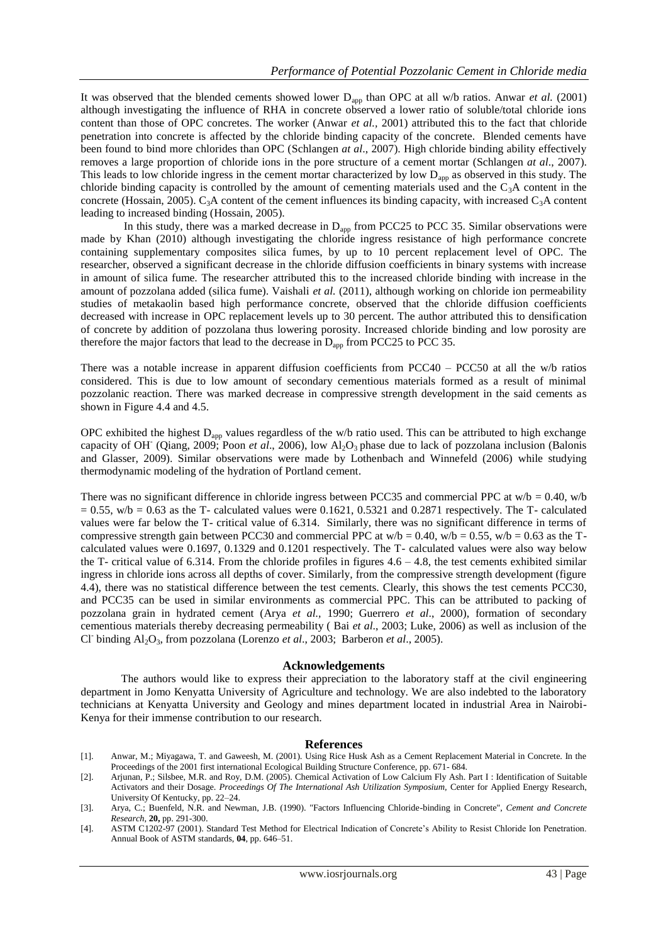It was observed that the blended cements showed lower D<sub>app</sub> than OPC at all w/b ratios. Anwar *et al.* (2001) although investigating the influence of RHA in concrete observed a lower ratio of soluble/total chloride ions content than those of OPC concretes. The worker (Anwar *et al.,* 2001) attributed this to the fact that chloride penetration into concrete is affected by the chloride binding capacity of the concrete. Blended cements have been found to bind more chlorides than OPC (Schlangen *at al*., 2007). High chloride binding ability effectively removes a large proportion of chloride ions in the pore structure of a cement mortar (Schlangen *at al*., 2007). This leads to low chloride ingress in the cement mortar characterized by low D<sub>app</sub> as observed in this study. The chloride binding capacity is controlled by the amount of cementing materials used and the  $C_3A$  content in the concrete (Hossain, 2005). C<sub>3</sub>A content of the cement influences its binding capacity, with increased C<sub>3</sub>A content leading to increased binding (Hossain, 2005).

In this study, there was a marked decrease in  $D_{app}$  from PCC25 to PCC 35. Similar observations were made by Khan (2010) although investigating the chloride ingress resistance of high performance concrete containing supplementary composites silica fumes, by up to 10 percent replacement level of OPC. The researcher, observed a significant decrease in the chloride diffusion coefficients in binary systems with increase in amount of silica fume. The researcher attributed this to the increased chloride binding with increase in the amount of pozzolana added (silica fume). Vaishali *et al.* (2011), although working on chloride ion permeability studies of metakaolin based high performance concrete, observed that the chloride diffusion coefficients decreased with increase in OPC replacement levels up to 30 percent. The author attributed this to densification of concrete by addition of pozzolana thus lowering porosity. Increased chloride binding and low porosity are therefore the major factors that lead to the decrease in  $D_{app}$  from PCC25 to PCC 35.

There was a notable increase in apparent diffusion coefficients from PCC40 – PCC50 at all the w/b ratios considered. This is due to low amount of secondary cementious materials formed as a result of minimal pozzolanic reaction. There was marked decrease in compressive strength development in the said cements as shown in Figure 4.4 and 4.5.

OPC exhibited the highest  $D_{app}$  values regardless of the w/b ratio used. This can be attributed to high exchange capacity of OH<sup>-</sup> (Qiang, 2009; Poon *et al.*, 2006), low Al<sub>2</sub>O<sub>3</sub> phase due to lack of pozzolana inclusion (Balonis and Glasser, 2009). Similar observations were made by Lothenbach and Winnefeld (2006) while studying thermodynamic modeling of the hydration of Portland cement*.*

There was no significant difference in chloride ingress between PCC35 and commercial PPC at  $w/b = 0.40$ ,  $w/b$  $= 0.55$ , w/b  $= 0.63$  as the T- calculated values were 0.1621, 0.5321 and 0.2871 respectively. The T- calculated values were far below the T- critical value of 6.314. Similarly, there was no significant difference in terms of compressive strength gain between PCC30 and commercial PPC at  $w/b = 0.40$ ,  $w/b = 0.55$ ,  $w/b = 0.63$  as the Tcalculated values were 0.1697, 0.1329 and 0.1201 respectively. The T- calculated values were also way below the T- critical value of 6.314. From the chloride profiles in figures  $4.6 - 4.8$ , the test cements exhibited similar ingress in chloride ions across all depths of cover. Similarly, from the compressive strength development (figure 4.4), there was no statistical difference between the test cements. Clearly, this shows the test cements PCC30, and PCC35 can be used in similar environments as commercial PPC. This can be attributed to packing of pozzolana grain in hydrated cement (Arya *et al.,* 1990; Guerrero *et al*., 2000), formation of secondary cementious materials thereby decreasing permeability ( Bai *et al*., 2003; Luke, 2006) as well as inclusion of the Cl-binding Al2O3, from pozzolana (Lorenzo *et al*., 2003; Barberon *et al*., 2005).

#### **Acknowledgements**

The authors would like to express their appreciation to the laboratory staff at the civil engineering department in Jomo Kenyatta University of Agriculture and technology. We are also indebted to the laboratory technicians at Kenyatta University and Geology and mines department located in industrial Area in Nairobi-Kenya for their immense contribution to our research.

#### **References**

- [1]. Anwar, M.; Miyagawa, T. and Gaweesh, M. (2001). Using Rice Husk Ash as a Cement Replacement Material in Concrete. In the Proceedings of the 2001 first international Ecological Building Structure Conference, pp. 671- 684.
- [2]. Arjunan, P.; Silsbee, M.R. and Roy, D.M. (2005). Chemical Activation of Low Calcium Fly Ash. Part I : Identification of Suitable Activators and their Dosage. *Proceedings Of The International Ash Utilization Symposium,* Center for Applied Energy Research, University Of Kentucky, pp. 22–24.
- [3]. Arya, C.; Buenfeld, N.R. and Newman, J.B. (1990). "Factors Influencing Chloride-binding in Concrete", *Cement and Concrete Research*, **20,** pp. 291-300.
- [4]. ASTM C1202-97 (2001). Standard Test Method for Electrical Indication of Concrete"s Ability to Resist Chloride Ion Penetration. Annual Book of ASTM standards, **04**, pp. 646–51.